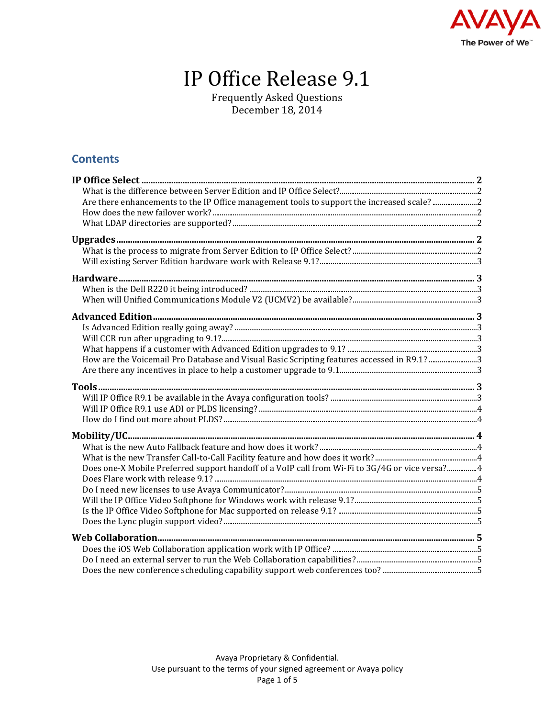

# IP Office Release 9.1

Frequently Asked Questions December 18, 2014

### **Contents**

| Are there enhancements to the IP Office management tools to support the increased scale? 2     |  |
|------------------------------------------------------------------------------------------------|--|
|                                                                                                |  |
|                                                                                                |  |
|                                                                                                |  |
|                                                                                                |  |
|                                                                                                |  |
|                                                                                                |  |
|                                                                                                |  |
|                                                                                                |  |
|                                                                                                |  |
|                                                                                                |  |
|                                                                                                |  |
|                                                                                                |  |
| How are the Voicemail Pro Database and Visual Basic Scripting features accessed in R9.1? 3     |  |
|                                                                                                |  |
|                                                                                                |  |
|                                                                                                |  |
|                                                                                                |  |
|                                                                                                |  |
|                                                                                                |  |
|                                                                                                |  |
|                                                                                                |  |
| Does one-X Mobile Preferred support handoff of a VoIP call from Wi-Fi to 3G/4G or vice versa?4 |  |
|                                                                                                |  |
|                                                                                                |  |
|                                                                                                |  |
|                                                                                                |  |
|                                                                                                |  |
|                                                                                                |  |
|                                                                                                |  |
|                                                                                                |  |
|                                                                                                |  |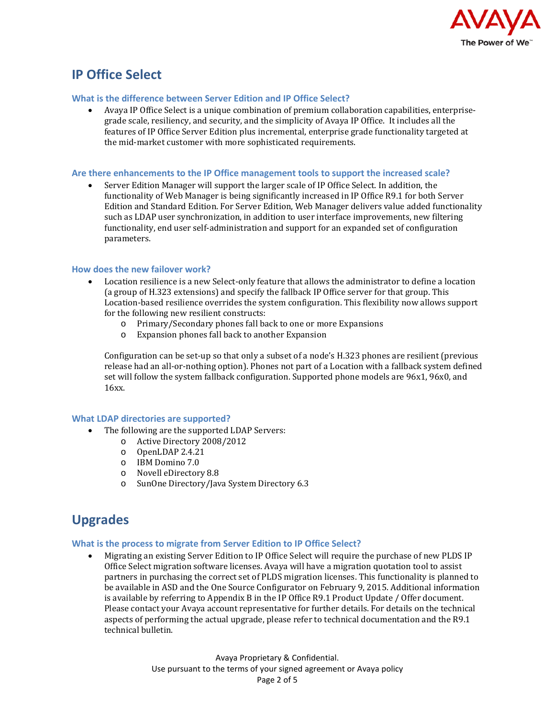

# <span id="page-1-0"></span>**IP Office Select**

#### <span id="page-1-1"></span>**What is the difference between Server Edition and IP Office Select?**

• Avaya IP Office Select is a unique combination of premium collaboration capabilities, enterprisegrade scale, resiliency, and security, and the simplicity of Avaya IP Office. It includes all the features of IP Office Server Edition plus incremental, enterprise grade functionality targeted at the mid-market customer with more sophisticated requirements.

#### <span id="page-1-2"></span>**Are there enhancements to the IP Office management tools to support the increased scale?**

• Server Edition Manager will support the larger scale of IP Office Select. In addition, the functionality of Web Manager is being significantly increased in IP Office R9.1 for both Server Edition and Standard Edition. For Server Edition, Web Manager delivers value added functionality such as LDAP user synchronization, in addition to user interface improvements, new filtering functionality, end user self-administration and support for an expanded set of configuration parameters.

#### <span id="page-1-3"></span>**How does the new failover work?**

- Location resilience is a new Select-only feature that allows the administrator to define a location (a group of H.323 extensions) and specify the fallback IP Office server for that group. This Location-based resilience overrides the system configuration. This flexibility now allows support for the following new resilient constructs:<br>
o Primary/Secondary phones fall ba
	- o Primary/Secondary phones fall back to one or more Expansions<br>
	o Expansion phones fall back to another Expansion
	- Expansion phones fall back to another Expansion

Configuration can be set-up so that only a subset of a node's H.323 phones are resilient (previous release had an all-or-nothing option). Phones not part of a Location with a fallback system defined set will follow the system fallback configuration. Supported phone models are 96x1, 96x0, and 16xx.

#### <span id="page-1-4"></span>**What LDAP directories are supported?**

- The following are the supported LDAP Servers:
	- o Active Directory 2008/2012
		- o OpenLDAP 2.4.21
		- o IBM Domino 7.0
		- o Novell eDirectory 8.8
		- o SunOne Directory/Java System Directory 6.3

# <span id="page-1-5"></span>**Upgrades**

#### <span id="page-1-6"></span>**What is the process to migrate from Server Edition to IP Office Select?**

• Migrating an existing Server Edition to IP Office Select will require the purchase of new PLDS IP Office Select migration software licenses. Avaya will have a migration quotation tool to assist partners in purchasing the correct set of PLDS migration licenses. This functionality is planned to be available in ASD and the One Source Configurator on February 9, 2015. Additional information is available by referring to Appendix B in the IP Office R9.1 Product Update / Offer document. Please contact your Avaya account representative for further details. For details on the technical aspects of performing the actual upgrade, please refer to technical documentation and the R9.1 technical bulletin.

> Avaya Proprietary & Confidential. Use pursuant to the terms of your signed agreement or Avaya policy Page 2 of 5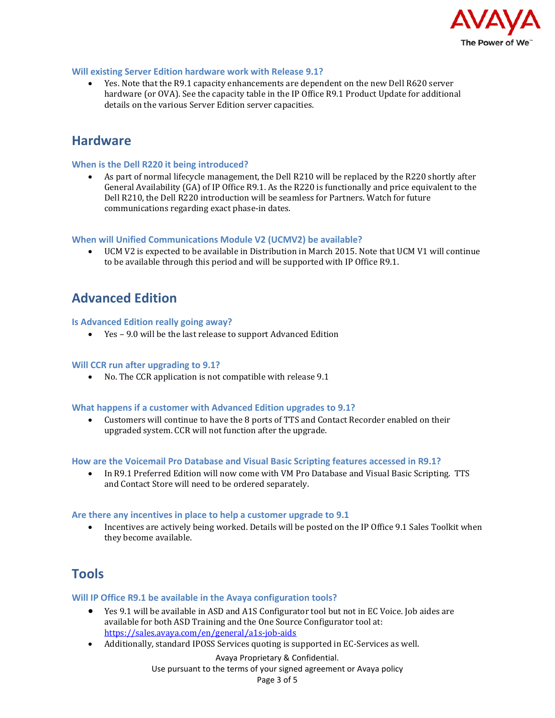

#### <span id="page-2-0"></span>**Will existing Server Edition hardware work with Release 9.1?**

• Yes. Note that the R9.1 capacity enhancements are dependent on the new Dell R620 server hardware (or OVA). See the capacity table in the IP Office R9.1 Product Update for additional details on the various Server Edition server capacities.

### <span id="page-2-1"></span>**Hardware**

#### <span id="page-2-2"></span>**When is the Dell R220 it being introduced?**

• As part of normal lifecycle management, the Dell R210 will be replaced by the R220 shortly after General Availability (GA) of IP Office R9.1. As the R220 is functionally and price equivalent to the Dell R210, the Dell R220 introduction will be seamless for Partners. Watch for future communications regarding exact phase-in dates.

#### <span id="page-2-3"></span>**When will Unified Communications Module V2 (UCMV2) be available?**

• UCM V2 is expected to be available in Distribution in March 2015. Note that UCM V1 will continue to be available through this period and will be supported with IP Office R9.1.

# <span id="page-2-4"></span>**Advanced Edition**

#### <span id="page-2-5"></span>**Is Advanced Edition really going away?**

• Yes – 9.0 will be the last release to support Advanced Edition

#### <span id="page-2-6"></span>**Will CCR run after upgrading to 9.1?**

• No. The CCR application is not compatible with release 9.1

#### <span id="page-2-7"></span>**What happens if a customer with Advanced Edition upgrades to 9.1?**

• Customers will continue to have the 8 ports of TTS and Contact Recorder enabled on their upgraded system. CCR will not function after the upgrade.

#### <span id="page-2-8"></span>**How are the Voicemail Pro Database and Visual Basic Scripting features accessed in R9.1?**

• In R9.1 Preferred Edition will now come with VM Pro Database and Visual Basic Scripting. TTS and Contact Store will need to be ordered separately.

#### <span id="page-2-9"></span>**Are there any incentives in place to help a customer upgrade to 9.1**

• Incentives are actively being worked. Details will be posted on the IP Office 9.1 Sales Toolkit when they become available.

### <span id="page-2-10"></span>**Tools**

#### <span id="page-2-11"></span>**Will IP Office R9.1 be available in the Avaya configuration tools?**

- Yes 9.1 will be available in ASD and A1S Configurator tool but not in EC Voice. Job aides are available for both ASD Training and the One Source Configurator tool at: <https://sales.avaya.com/en/general/a1s-job-aids>
- Additionally, standard IPOSS Services quoting is supported in EC-Services as well.

Avaya Proprietary & Confidential. Use pursuant to the terms of your signed agreement or Avaya policy Page 3 of 5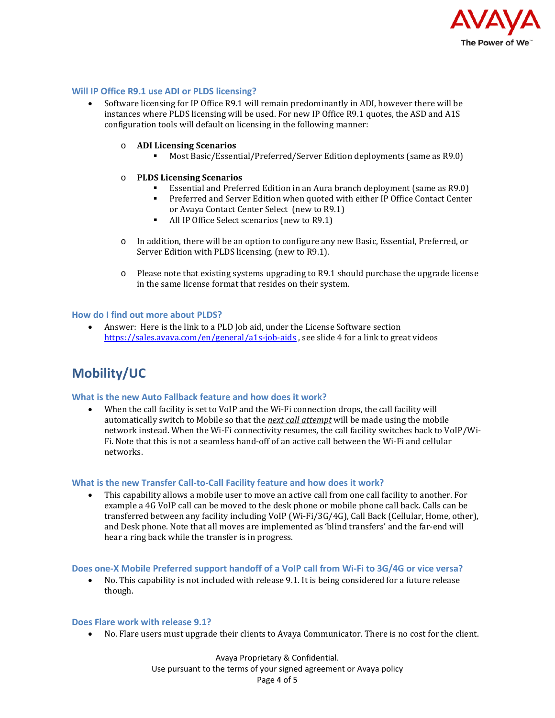

#### <span id="page-3-0"></span>**Will IP Office R9.1 use ADI or PLDS licensing?**

- Software licensing for IP Office R9.1 will remain predominantly in ADI, however there will be instances where PLDS licensing will be used. For new IP Office R9.1 quotes, the ASD and A1S configuration tools will default on licensing in the following manner:
	- o **ADI Licensing Scenarios**
		- Most Basic/Essential/Preferred/Server Edition deployments (same as R9.0)

#### o **PLDS Licensing Scenarios**

- **Essential and Preferred Edition in an Aura branch deployment (same as R9.0)**<br>Preferred and Server Edition when quoted with either IP Office Contact Center
- Preferred and Server Edition when quoted with either IP Office Contact Center or Avaya Contact Center Select (new to R9.1)
- All IP Office Select scenarios (new to R9.1)
- o In addition, there will be an option to configure any new Basic, Essential, Preferred, or Server Edition with PLDS licensing. (new to R9.1).
- o Please note that existing systems upgrading to R9.1 should purchase the upgrade license in the same license format that resides on their system.

#### <span id="page-3-1"></span>**How do I find out more about PLDS?**

• Answer: Here is the link to a PLD Job aid, under the License Software section <https://sales.avaya.com/en/general/a1s-job-aids> , see slide 4 for a link to great videos

## <span id="page-3-2"></span>**Mobility/UC**

#### <span id="page-3-3"></span>**What is the new Auto Fallback feature and how does it work?**

• When the call facility is set to VoIP and the Wi-Fi connection drops, the call facility will automatically switch to Mobile so that the *next call attempt* will be made using the mobile network instead. When the Wi-Fi connectivity resumes, the call facility switches back to VoIP/Wi-Fi. Note that this is not a seamless hand-off of an active call between the Wi-Fi and cellular networks.

#### <span id="page-3-4"></span>**What is the new Transfer Call-to-Call Facility feature and how does it work?**

This capability allows a mobile user to move an active call from one call facility to another. For example a 4G VoIP call can be moved to the desk phone or mobile phone call back. Calls can be transferred between any facility including VoIP (Wi-Fi/3G/4G), Call Back (Cellular, Home, other), and Desk phone. Note that all moves are implemented as 'blind transfers' and the far-end will hear a ring back while the transfer is in progress.

#### <span id="page-3-5"></span>**Does one-X Mobile Preferred support handoff of a VoIP call from Wi-Fi to 3G/4G or vice versa?**

• No. This capability is not included with release 9.1. It is being considered for a future release though.

#### <span id="page-3-6"></span>**Does Flare work with release 9.1?**

• No. Flare users must upgrade their clients to Avaya Communicator. There is no cost for the client.

Avaya Proprietary & Confidential. Use pursuant to the terms of your signed agreement or Avaya policy Page 4 of 5